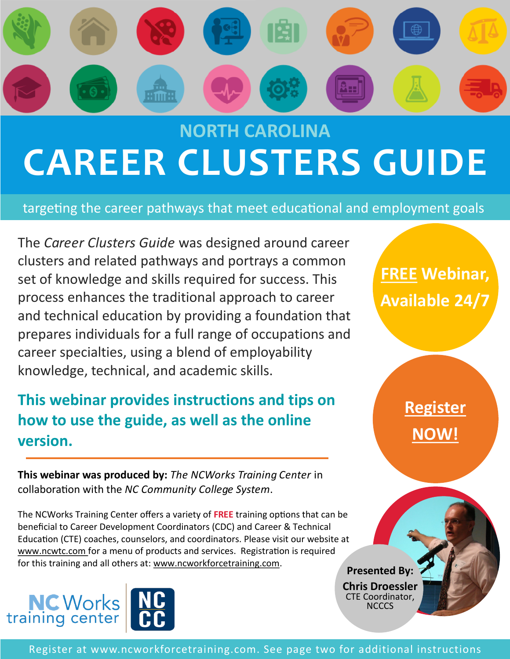

# **NORTH CAROLINA CAREER CLUSTERS GUIDE**

targeting the career pathways that meet educational and employment goals

The *Career Clusters Guide* was designed around career clusters and related pathways and portrays a common set of knowledge and skills required for success. This process enhances the traditional approach to career and technical education by providing a foundation that prepares individuals for a full range of occupations and career specialties, using a blend of employability knowledge, technical, and academic skills.

### **This webinar provides instructions and tips on how to use the guide, as well as the online version.**

**This webinar was produced by:** *The NCWorks Training Center* in collaboration with the *NC Community College System*.

The NCWorks Training Center offers a variety of **FREE** training options that can be beneficial to Career Development Coordinators (CDC) and Career & Technical Education (CTE) coaches, counselors, and coordinators. Please visit our website at www.ncwtc.com for a menu of products and services. Registration is required for this training and all others at: www.ncworkforcetraining.com.<br>**Presented By:** 





**FREE Webinar, Available 24/7**

> **[Register](http://www.ncworkforcetraining.com) [NOW!](http://www.ncworkforcetraining.com)**

**Chris Droessler**  CTE Coordinator, NCCCS

Register at www.ncworkforcetraining.com. See page two for additional instructions